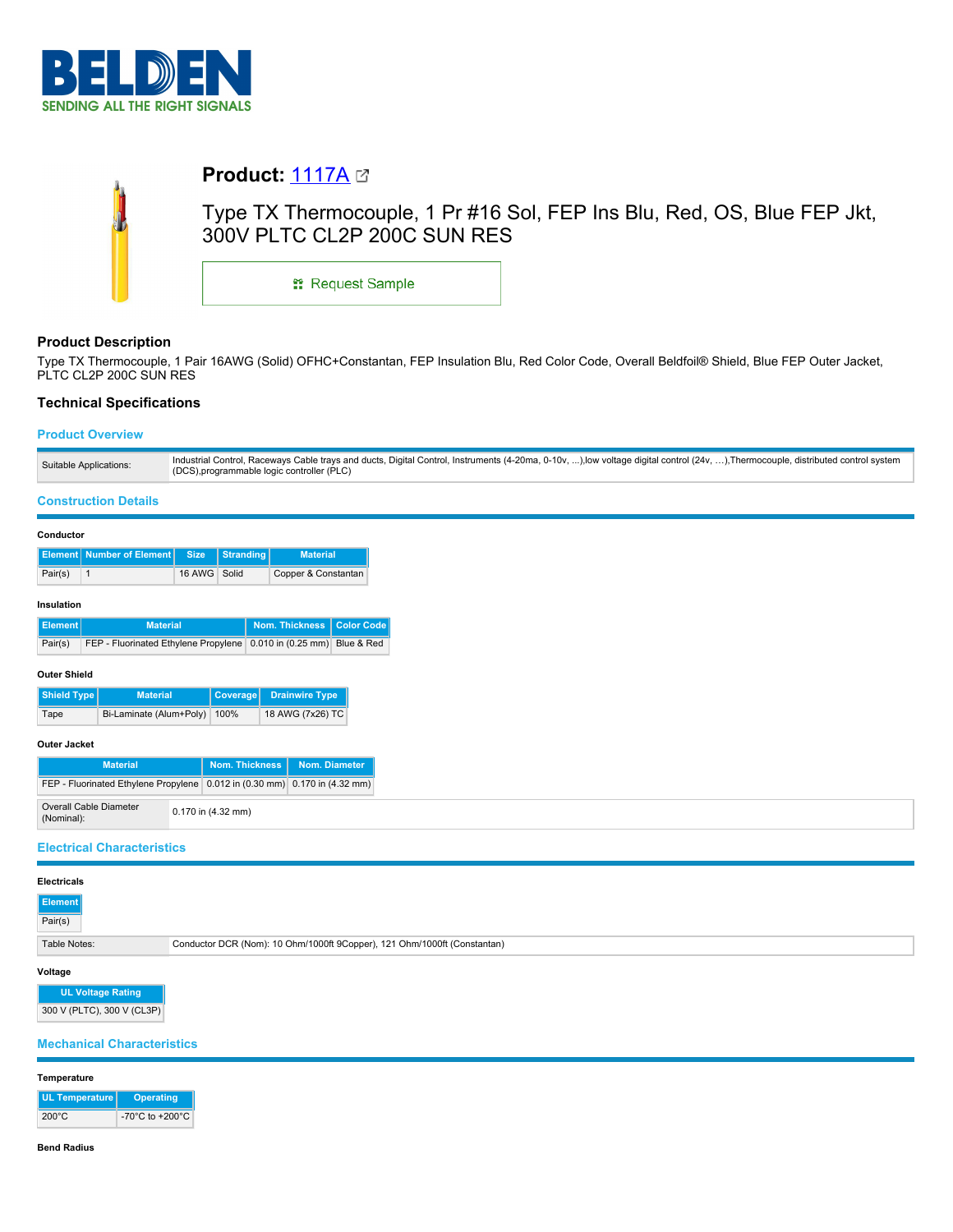

| <b>Product: 1117A</b> $\boldsymbol{\alpha}$ |                                                                         |
|---------------------------------------------|-------------------------------------------------------------------------|
| 300V PLTC CL2P 200C SUN RES                 | Type TX Thermocouple, 1 Pr #16 Sol, FEP Ins Blu, Red, OS, Blue FEP Jkt, |
| <b>ः Request Sample</b>                     |                                                                         |

# **Product Description**

Type TX Thermocouple, 1 Pair 16AWG (Solid) OFHC+Constantan, FEP Insulation Blu, Red Color Code, Overall Beldfoil® Shield, Blue FEP Outer Jacket, PLTC CL2P 200C SUN RES

# **Technical Specifications**

### **Product Overview**

| Industrial Control, Raceways Cable trays and ducts, Digital Control, Instruments (4-20ma, 0-10v, ),low voltage digital control (24v, ),Thermocouple, distributed control system<br>Suitable Applications:<br>(DCS), programmable logic controller (PLC) |  |
|---------------------------------------------------------------------------------------------------------------------------------------------------------------------------------------------------------------------------------------------------------|--|
|---------------------------------------------------------------------------------------------------------------------------------------------------------------------------------------------------------------------------------------------------------|--|

#### **Construction Details**

| Conductor  |                                      |              |                  |                     |
|------------|--------------------------------------|--------------|------------------|---------------------|
|            | <b>Element   Number of Element  </b> | <b>Size</b>  | <b>Stranding</b> | <b>Material</b>     |
| Pair(s)    |                                      | 16 AWG Solid |                  | Copper & Constantan |
| Insulation |                                      |              |                  |                     |

| Ⅱ Element I | <b>Material</b>                                                        | Nom. Thickness   Color Code |  |
|-------------|------------------------------------------------------------------------|-----------------------------|--|
| Pair(s)     | FEP - Fluorinated Ethylene Propylene   0.010 in (0.25 mm)   Blue & Red |                             |  |

#### **Outer Shield**

| Shield Type | <b>Material</b>              | Coverage Drainwire Type |
|-------------|------------------------------|-------------------------|
| Tape        | Bi-Laminate (Alum+Poly) 100% | 18 AWG (7x26) TC        |

# **Outer Jacket**

| <b>Material</b>                                                            | Nom. Thickness I   | Nom. Diameter |
|----------------------------------------------------------------------------|--------------------|---------------|
| FEP - Fluorinated Ethylene Propylene 0.012 in (0.30 mm) 0.170 in (4.32 mm) |                    |               |
| <b>Overall Cable Diameter</b><br>(Nominal):                                | 0.170 in (4.32 mm) |               |

### **Electrical Characteristics**

| <b>Element</b><br>Pair(s) |                                                                          |
|---------------------------|--------------------------------------------------------------------------|
| Table Notes:              | Conductor DCR (Nom): 10 Ohm/1000ft 9Copper), 121 Ohm/1000ft (Constantan) |

#### **Voltage**

**UL Voltage Rating** 300 V (PLTC), 300 V (CL3P)

## **Mechanical Characteristics**

### **Temperature**

| UL Temperature  | <b>Operating</b>                      |
|-----------------|---------------------------------------|
| $200^{\circ}$ C | -70 $^{\circ}$ C to +200 $^{\circ}$ C |

#### **Bend Radius**